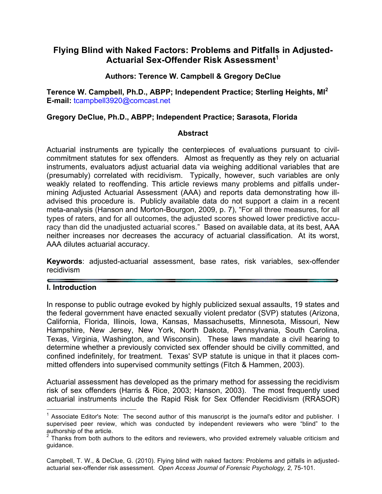# **Flying Blind with Naked Factors: Problems and Pitfalls in Adjusted-Actuarial Sex-Offender Risk Assessment**<sup>1</sup>

### **Authors: Terence W. Campbell & Gregory DeClue**

**Terence W. Campbell, Ph.D., ABPP; Independent Practice; Sterling Heights, MI<sup>2</sup> E-mail:** tcampbell3920@comcast.net

#### **Gregory DeClue, Ph.D., ABPP; Independent Practice; Sarasota, Florida**

#### **Abstract**

Actuarial instruments are typically the centerpieces of evaluations pursuant to civilcommitment statutes for sex offenders. Almost as frequently as they rely on actuarial instruments, evaluators adjust actuarial data via weighing additional variables that are (presumably) correlated with recidivism. Typically, however, such variables are only weakly related to reoffending. This article reviews many problems and pitfalls undermining Adjusted Actuarial Assessment (AAA) and reports data demonstrating how illadvised this procedure is. Publicly available data do not support a claim in a recent meta-analysis (Hanson and Morton-Bourgon, 2009, p. 7), "For all three measures, for all types of raters, and for all outcomes, the adjusted scores showed lower predictive accuracy than did the unadjusted actuarial scores." Based on available data, at its best, AAA neither increases nor decreases the accuracy of actuarial classification. At its worst, AAA dilutes actuarial accuracy.

**Keywords**: adjusted-actuarial assessment, base rates, risk variables, sex-offender recidivism

### **I. Introduction**

In response to public outrage evoked by highly publicized sexual assaults, 19 states and the federal government have enacted sexually violent predator (SVP) statutes (Arizona, California, Florida, Illinois, Iowa, Kansas, Massachusetts, Minnesota, Missouri, New Hampshire, New Jersey, New York, North Dakota, Pennsylvania, South Carolina, Texas, Virginia, Washington, and Wisconsin). These laws mandate a civil hearing to determine whether a previously convicted sex offender should be civilly committed, and confined indefinitely, for treatment. Texas' SVP statute is unique in that it places committed offenders into supervised community settings (Fitch & Hammen, 2003).

Actuarial assessment has developed as the primary method for assessing the recidivism risk of sex offenders (Harris & Rice, 2003; Hanson, 2003). The most frequently used actuarial instruments include the Rapid Risk for Sex Offender Recidivism (RRASOR)

 $<sup>1</sup>$  Associate Editor's Note: The second author of this manuscript is the journal's editor and publisher. I</sup> supervised peer review, which was conducted by independent reviewers who were "blind" to the authorship of the article.

 $2$  Thanks from both authors to the editors and reviewers, who provided extremely valuable criticism and guidance.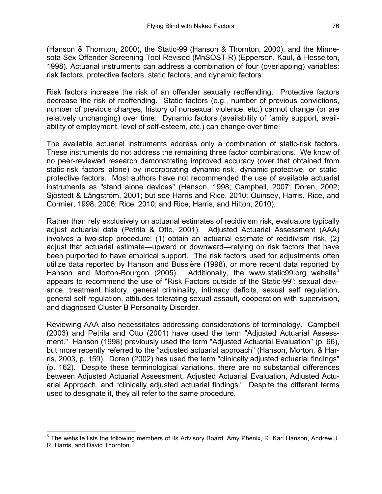(Hanson & Thornton, 2000), the Static-99 (Hanson & Thornton, 2000), and the Minnesota Sex Offender Screening Tool-Revised (MnSOST-R) (Epperson, Kaul, & Hesselton, 1998). Actuarial instruments can address a combination of four (overlapping) variables: risk factors, protective factors, static factors, and dynamic factors.

Risk factors increase the risk of an offender sexually reoffending. Protective factors decrease the risk of reoffending. Static factors (e.g., number of previous convictions, number of previous charges, history of nonsexual violence, etc.) cannot change (or are relatively unchanging) over time. Dynamic factors (availability of family support, availability of employment, level of self-esteem, etc.) can change over time.

The available actuarial instruments address only a combination of static-risk factors. These instruments do not address the remaining three factor combinations. We know of no peer-reviewed research demonstrating improved accuracy (over that obtained from static-risk factors alone) by incorporating dynamic-risk, dynamic-protective, or staticprotective factors. Most authors have not recommended the use of available actuarial instruments as "stand alone devices" (Hanson, 1998; Campbell, 2007; Doren, 2002; Sjöstedt & Långström, 2001; but see Harris and Rice, 2010; Quinsey, Harris, Rice, and Cormier, 1998, 2006; Rice, 2010; and Rice, Harris, and Hilton, 2010).

Rather than rely exclusively on actuarial estimates of recidivism risk, evaluators typically adjust actuarial data (Petrila & Otto, 2001). Adjusted Actuarial Assessment (AAA) involves a two-step procedure: (1) obtain an actuarial estimate of recidivism risk, (2) adjust that actuarial estimate—upward or downward—relying on risk factors that have been purported to have empirical support. The risk factors used for adjustments often utilize data reported by Hanson and Bussière (1998), or more recent data reported by Hanson and Morton-Bourgon (2005). Additionally, the www.static99.org website<sup>3</sup> appears to recommend the use of "Risk Factors outside of the Static-99": sexual deviance, treatment history, general criminality, intimacy deficits, sexual self regulation, general self regulation, attitudes tolerating sexual assault, cooperation with supervision, and diagnosed Cluster B Personality Disorder.

Reviewing AAA also necessitates addressing considerations of terminology. Campbell (2003) and Petrila and Otto (2001) have used the term "Adjusted Actuarial Assessment." Hanson (1998) previously used the term "Adjusted Actuarial Evaluation" (p. 66), but more recently referred to the "adjusted actuarial approach" (Hanson, Morton, & Harris, 2003, p. 159). Doren (2002) has used the term "clinically adjusted actuarial findings" (p. 162). Despite these terminological variations, there are no substantial differences between Adjusted Actuarial Assessment, Adjusted Actuarial Evaluation, Adjusted Actuarial Approach, and "clinically adjusted actuarial findings." Despite the different terms used to designate it, they all refer to the same procedure.

 $3$  The website lists the following members of its Advisory Board: Amy Phenix, R. Karl Hanson, Andrew J. R. Harris, and David Thornton.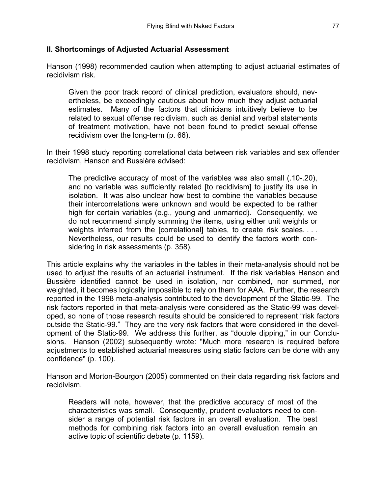#### **II. Shortcomings of Adjusted Actuarial Assessment**

Hanson (1998) recommended caution when attempting to adjust actuarial estimates of recidivism risk.

Given the poor track record of clinical prediction, evaluators should, nevertheless, be exceedingly cautious about how much they adjust actuarial estimates. Many of the factors that clinicians intuitively believe to be related to sexual offense recidivism, such as denial and verbal statements of treatment motivation, have not been found to predict sexual offense recidivism over the long-term (p. 66).

In their 1998 study reporting correlational data between risk variables and sex offender recidivism, Hanson and Bussière advised:

The predictive accuracy of most of the variables was also small (.10-.20), and no variable was sufficiently related [to recidivism] to justify its use in isolation. It was also unclear how best to combine the variables because their intercorrelations were unknown and would be expected to be rather high for certain variables (e.g., young and unmarried). Consequently, we do not recommend simply summing the items, using either unit weights or weights inferred from the [correlational] tables, to create risk scales. . . . Nevertheless, our results could be used to identify the factors worth considering in risk assessments (p. 358).

This article explains why the variables in the tables in their meta-analysis should not be used to adjust the results of an actuarial instrument. If the risk variables Hanson and Bussière identified cannot be used in isolation, nor combined, nor summed, nor weighted, it becomes logically impossible to rely on them for AAA. Further, the research reported in the 1998 meta-analysis contributed to the development of the Static-99. The risk factors reported in that meta-analysis were considered as the Static-99 was developed, so none of those research results should be considered to represent "risk factors outside the Static-99." They are the very risk factors that were considered in the development of the Static-99. We address this further, as "double dipping," in our Conclusions. Hanson (2002) subsequently wrote: "Much more research is required before adjustments to established actuarial measures using static factors can be done with any confidence" (p. 100).

Hanson and Morton-Bourgon (2005) commented on their data regarding risk factors and recidivism.

Readers will note, however, that the predictive accuracy of most of the characteristics was small. Consequently, prudent evaluators need to consider a range of potential risk factors in an overall evaluation. The best methods for combining risk factors into an overall evaluation remain an active topic of scientific debate (p. 1159).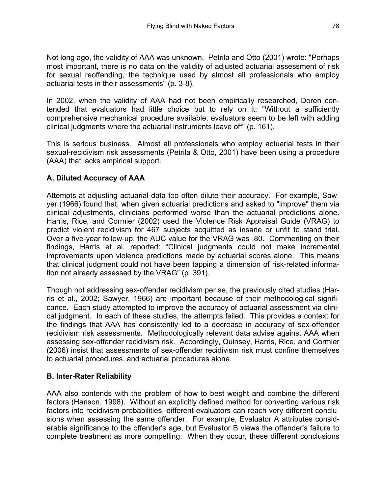Not long ago, the validity of AAA was unknown. Petrila and Otto (2001) wrote: "Perhaps most important, there is no data on the validity of adjusted actuarial assessment of risk for sexual reoffending, the technique used by almost all professionals who employ actuarial tests in their assessments" (p. 3-8).

In 2002, when the validity of AAA had not been empirically researched, Doren contended that evaluators had little choice but to rely on it: "Without a sufficiently comprehensive mechanical procedure available, evaluators seem to be left with adding clinical judgments where the actuarial instruments leave off" (p. 161).

This is serious business. Almost all professionals who employ actuarial tests in their sexual-recidivism risk assessments (Petrila & Otto, 2001) have been using a procedure (AAA) that lacks empirical support.

## **A. Diluted Accuracy of AAA**

Attempts at adjusting actuarial data too often dilute their accuracy. For example, Sawyer (1966) found that, when given actuarial predictions and asked to "improve" them via clinical adjustments, clinicians performed worse than the actuarial predictions alone. Harris, Rice, and Cormier (2002) used the Violence Risk Appraisal Guide (VRAG) to predict violent recidivism for 467 subjects acquitted as insane or unfit to stand trial. Over a five-year follow-up, the AUC value for the VRAG was .80. Commenting on their findings, Harris et al. reported: "Clinical judgments could not make incremental improvements upon violence predictions made by actuarial scores alone. This means that clinical judgment could not have been tapping a dimension of risk-related information not already assessed by the VRAG" (p. 391).

Though not addressing sex-offender recidivism per se, the previously cited studies (Harris et al., 2002; Sawyer, 1966) are important because of their methodological significance. Each study attempted to improve the accuracy of actuarial assessment via clinical judgment. In each of these studies, the attempts failed. This provides a context for the findings that AAA has consistently led to a decrease in accuracy of sex-offender recidivism risk assessments. Methodologically relevant data advise against AAA when assessing sex-offender recidivism risk. Accordingly, Quinsey, Harris, Rice, and Cormier (2006) insist that assessments of sex-offender recidivism risk must confine themselves to actuarial procedures, and actuarial procedures alone.

## **B. Inter-Rater Reliability**

AAA also contends with the problem of how to best weight and combine the different factors (Hanson, 1998). Without an explicitly defined method for converting various risk factors into recidivism probabilities, different evaluators can reach very different conclusions when assessing the same offender. For example, Evaluator A attributes considerable significance to the offender's age, but Evaluator B views the offender's failure to complete treatment as more compelling. When they occur, these different conclusions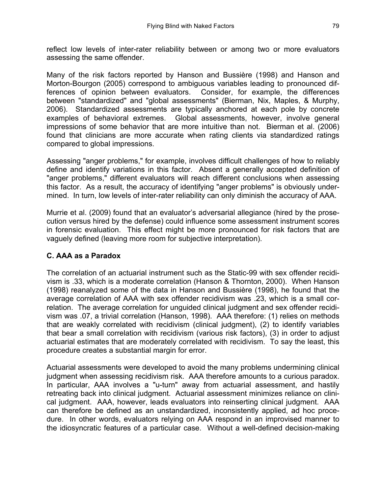reflect low levels of inter-rater reliability between or among two or more evaluators assessing the same offender.

Many of the risk factors reported by Hanson and Bussière (1998) and Hanson and Morton-Bourgon (2005) correspond to ambiguous variables leading to pronounced differences of opinion between evaluators. Consider, for example, the differences between "standardized" and "global assessments" (Bierman, Nix, Maples, & Murphy, 2006). Standardized assessments are typically anchored at each pole by concrete examples of behavioral extremes. Global assessments, however, involve general impressions of some behavior that are more intuitive than not. Bierman et al. (2006) found that clinicians are more accurate when rating clients via standardized ratings compared to global impressions.

Assessing "anger problems," for example, involves difficult challenges of how to reliably define and identify variations in this factor. Absent a generally accepted definition of "anger problems," different evaluators will reach different conclusions when assessing this factor. As a result, the accuracy of identifying "anger problems" is obviously undermined. In turn, low levels of inter-rater reliability can only diminish the accuracy of AAA.

Murrie et al. (2009) found that an evaluator's adversarial allegiance (hired by the prosecution versus hired by the defense) could influence some assessment instrument scores in forensic evaluation. This effect might be more pronounced for risk factors that are vaguely defined (leaving more room for subjective interpretation).

## **C. AAA as a Paradox**

The correlation of an actuarial instrument such as the Static-99 with sex offender recidivism is .33, which is a moderate correlation (Hanson & Thornton, 2000). When Hanson (1998) reanalyzed some of the data in Hanson and Bussière (1998), he found that the average correlation of AAA with sex offender recidivism was .23, which is a small correlation. The average correlation for unguided clinical judgment and sex offender recidivism was .07, a trivial correlation (Hanson, 1998). AAA therefore: (1) relies on methods that are weakly correlated with recidivism (clinical judgment), (2) to identify variables that bear a small correlation with recidivism (various risk factors), (3) in order to adjust actuarial estimates that are moderately correlated with recidivism. To say the least, this procedure creates a substantial margin for error.

Actuarial assessments were developed to avoid the many problems undermining clinical judgment when assessing recidivism risk. AAA therefore amounts to a curious paradox. In particular, AAA involves a "u-turn" away from actuarial assessment, and hastily retreating back into clinical judgment. Actuarial assessment minimizes reliance on clinical judgment. AAA, however, leads evaluators into reinserting clinical judgment. AAA can therefore be defined as an unstandardized, inconsistently applied, ad hoc procedure. In other words, evaluators relying on AAA respond in an improvised manner to the idiosyncratic features of a particular case. Without a well-defined decision-making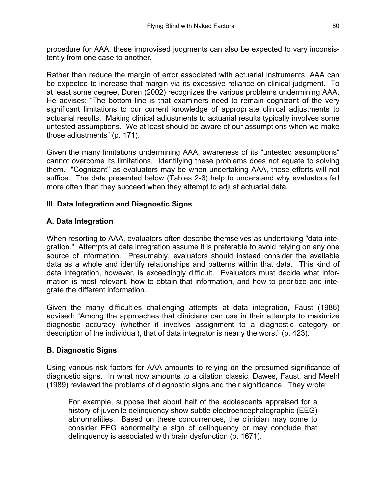procedure for AAA, these improvised judgments can also be expected to vary inconsistently from one case to another.

Rather than reduce the margin of error associated with actuarial instruments, AAA can be expected to increase that margin via its excessive reliance on clinical judgment. To at least some degree, Doren (2002) recognizes the various problems undermining AAA. He advises: "The bottom line is that examiners need to remain cognizant of the very significant limitations to our current knowledge of appropriate clinical adjustments to actuarial results. Making clinical adjustments to actuarial results typically involves some untested assumptions. We at least should be aware of our assumptions when we make those adjustments" (p. 171).

Given the many limitations undermining AAA, awareness of its "untested assumptions" cannot overcome its limitations. Identifying these problems does not equate to solving them. "Cognizant" as evaluators may be when undertaking AAA, those efforts will not suffice. The data presented below (Tables 2-6) help to understand why evaluators fail more often than they succeed when they attempt to adjust actuarial data.

### **III. Data Integration and Diagnostic Signs**

### **A. Data Integration**

When resorting to AAA, evaluators often describe themselves as undertaking "data integration." Attempts at data integration assume it is preferable to avoid relying on any one source of information. Presumably, evaluators should instead consider the available data as a whole and identify relationships and patterns within that data. This kind of data integration, however, is exceedingly difficult. Evaluators must decide what information is most relevant, how to obtain that information, and how to prioritize and integrate the different information.

Given the many difficulties challenging attempts at data integration, Faust (1986) advised: "Among the approaches that clinicians can use in their attempts to maximize diagnostic accuracy (whether it involves assignment to a diagnostic category or description of the individual), that of data integrator is nearly the worst" (p. 423).

### **B. Diagnostic Signs**

Using various risk factors for AAA amounts to relying on the presumed significance of diagnostic signs. In what now amounts to a citation classic, Dawes, Faust, and Meehl (1989) reviewed the problems of diagnostic signs and their significance. They wrote:

For example, suppose that about half of the adolescents appraised for a history of juvenile delinquency show subtle electroencephalographic (EEG) abnormalities. Based on these concurrences, the clinician may come to consider EEG abnormality a sign of delinquency or may conclude that delinquency is associated with brain dysfunction (p. 1671).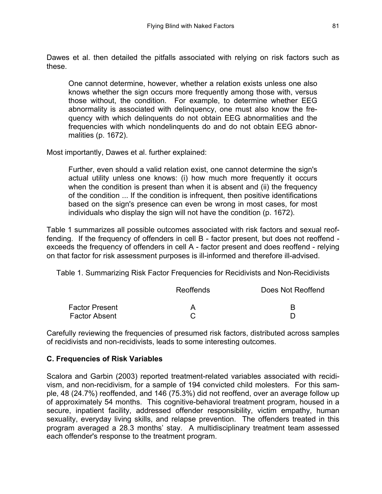Dawes et al. then detailed the pitfalls associated with relying on risk factors such as these.

One cannot determine, however, whether a relation exists unless one also knows whether the sign occurs more frequently among those with, versus those without, the condition. For example, to determine whether EEG abnormality is associated with delinquency, one must also know the frequency with which delinquents do not obtain EEG abnormalities and the frequencies with which nondelinquents do and do not obtain EEG abnormalities (p. 1672).

Most importantly, Dawes et al. further explained:

Further, even should a valid relation exist, one cannot determine the sign's actual utility unless one knows: (i) how much more frequently it occurs when the condition is present than when it is absent and (ii) the frequency of the condition ... If the condition is infrequent, then positive identifications based on the sign's presence can even be wrong in most cases, for most individuals who display the sign will not have the condition (p. 1672).

Table 1 summarizes all possible outcomes associated with risk factors and sexual reoffending. If the frequency of offenders in cell B - factor present, but does not reoffend exceeds the frequency of offenders in cell A - factor present and does reoffend - relying on that factor for risk assessment purposes is ill-informed and therefore ill-advised.

Table 1. Summarizing Risk Factor Frequencies for Recidivists and Non-Recidivists

|                       | Reoffends | Does Not Reoffend |
|-----------------------|-----------|-------------------|
| <b>Factor Present</b> |           | R                 |
| <b>Factor Absent</b>  |           |                   |

Carefully reviewing the frequencies of presumed risk factors, distributed across samples of recidivists and non-recidivists, leads to some interesting outcomes.

### **C. Frequencies of Risk Variables**

Scalora and Garbin (2003) reported treatment-related variables associated with recidivism, and non-recidivism, for a sample of 194 convicted child molesters. For this sample, 48 (24.7%) reoffended, and 146 (75.3%) did not reoffend, over an average follow up of approximately 54 months. This cognitive-behavioral treatment program, housed in a secure, inpatient facility, addressed offender responsibility, victim empathy, human sexuality, everyday living skills, and relapse prevention. The offenders treated in this program averaged a 28.3 months' stay. A multidisciplinary treatment team assessed each offender's response to the treatment program.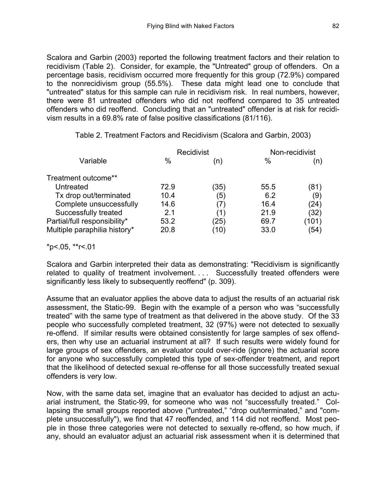Scalora and Garbin (2003) reported the following treatment factors and their relation to recidivism (Table 2). Consider, for example, the "Untreated" group of offenders. On a percentage basis, recidivism occurred more frequently for this group (72.9%) compared to the nonrecidivism group (55.5%). These data might lead one to conclude that "untreated" status for this sample can rule in recidivism risk. In real numbers, however, there were 81 untreated offenders who did not reoffend compared to 35 untreated offenders who did reoffend. Concluding that an "untreated" offender is at risk for recidivism results in a 69.8% rate of false positive classifications (81/116).

|                              |      | Recidivist |      | Non-recidivist |
|------------------------------|------|------------|------|----------------|
| Variable                     | $\%$ | (n)        | %    | (n)            |
| Treatment outcome**          |      |            |      |                |
| Untreated                    | 72.9 | (35)       | 55.5 | (81)           |
| Tx drop out/terminated       | 10.4 | (5)        | 6.2  | (9)            |
| Complete unsuccessfully      | 14.6 |            | 16.4 | (24)           |
| Successfully treated         | 2.1  | (1)        | 21.9 | (32)           |
| Partial/full responsibility* | 53.2 | (25)       | 69.7 | (101)          |
| Multiple paraphilia history* | 20.8 | (10)       | 33.0 | (54)           |

Table 2. Treatment Factors and Recidivism (Scalora and Garbin, 2003)

 $*p$  < 05,  $*r$  < 01

Scalora and Garbin interpreted their data as demonstrating: "Recidivism is significantly related to quality of treatment involvement. . . . Successfully treated offenders were significantly less likely to subsequently reoffend" (p. 309).

Assume that an evaluator applies the above data to adjust the results of an actuarial risk assessment, the Static-99. Begin with the example of a person who was "successfully treated" with the same type of treatment as that delivered in the above study. Of the 33 people who successfully completed treatment, 32 (97%) were not detected to sexually re-offend. If similar results were obtained consistently for large samples of sex offenders, then why use an actuarial instrument at all? If such results were widely found for large groups of sex offenders, an evaluator could over-ride (ignore) the actuarial score for anyone who successfully completed this type of sex-offender treatment, and report that the likelihood of detected sexual re-offense for all those successfully treated sexual offenders is very low.

Now, with the same data set, imagine that an evaluator has decided to adjust an actuarial instrument, the Static-99, for someone who was not "successfully treated." Collapsing the small groups reported above ("untreated," "drop out/terminated," and "complete unsuccessfully"), we find that 47 reoffended, and 114 did not reoffend. Most people in those three categories were not detected to sexually re-offend, so how much, if any, should an evaluator adjust an actuarial risk assessment when it is determined that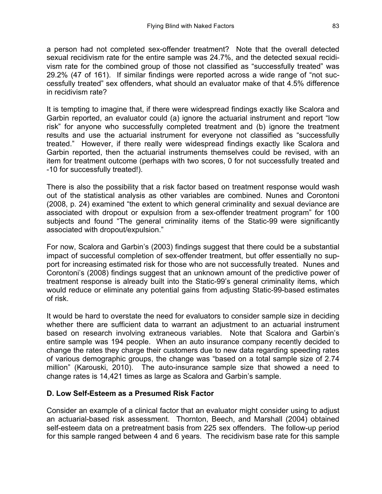a person had not completed sex-offender treatment? Note that the overall detected sexual recidivism rate for the entire sample was 24.7%, and the detected sexual recidivism rate for the combined group of those not classified as "successfully treated" was 29.2% (47 of 161). If similar findings were reported across a wide range of "not successfully treated" sex offenders, what should an evaluator make of that 4.5% difference in recidivism rate?

It is tempting to imagine that, if there were widespread findings exactly like Scalora and Garbin reported, an evaluator could (a) ignore the actuarial instrument and report "low risk" for anyone who successfully completed treatment and (b) ignore the treatment results and use the actuarial instrument for everyone not classified as "successfully treated." However, if there really were widespread findings exactly like Scalora and Garbin reported, then the actuarial instruments themselves could be revised, with an item for treatment outcome (perhaps with two scores, 0 for not successfully treated and -10 for successfully treated!).

There is also the possibility that a risk factor based on treatment response would wash out of the statistical analysis as other variables are combined. Nunes and Corontoni (2008, p. 24) examined "the extent to which general criminality and sexual deviance are associated with dropout or expulsion from a sex-offender treatment program" for 100 subjects and found "The general criminality items of the Static-99 were significantly associated with dropout/expulsion."

For now, Scalora and Garbin's (2003) findings suggest that there could be a substantial impact of successful completion of sex-offender treatment, but offer essentially no support for increasing estimated risk for those who are not successfully treated. Nunes and Corontoni's (2008) findings suggest that an unknown amount of the predictive power of treatment response is already built into the Static-99's general criminality items, which would reduce or eliminate any potential gains from adjusting Static-99-based estimates of risk.

It would be hard to overstate the need for evaluators to consider sample size in deciding whether there are sufficient data to warrant an adjustment to an actuarial instrument based on research involving extraneous variables. Note that Scalora and Garbin's entire sample was 194 people. When an auto insurance company recently decided to change the rates they charge their customers due to new data regarding speeding rates of various demographic groups, the change was "based on a total sample size of 2.74 million" (Karouski, 2010). The auto-insurance sample size that showed a need to change rates is 14,421 times as large as Scalora and Garbin's sample.

### **D. Low Self-Esteem as a Presumed Risk Factor**

Consider an example of a clinical factor that an evaluator might consider using to adjust an actuarial-based risk assessment. Thornton, Beech, and Marshall (2004) obtained self-esteem data on a pretreatment basis from 225 sex offenders. The follow-up period for this sample ranged between 4 and 6 years. The recidivism base rate for this sample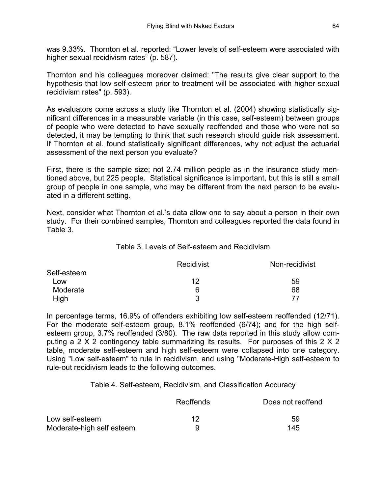was 9.33%. Thornton et al. reported: "Lower levels of self-esteem were associated with higher sexual recidivism rates" (p. 587).

Thornton and his colleagues moreover claimed: "The results give clear support to the hypothesis that low self-esteem prior to treatment will be associated with higher sexual recidivism rates" (p. 593).

As evaluators come across a study like Thornton et al. (2004) showing statistically significant differences in a measurable variable (in this case, self-esteem) between groups of people who were detected to have sexually reoffended and those who were not so detected, it may be tempting to think that such research should guide risk assessment. If Thornton et al. found statistically significant differences, why not adjust the actuarial assessment of the next person you evaluate?

First, there is the sample size; not 2.74 million people as in the insurance study mentioned above, but 225 people. Statistical significance is important, but this is still a small group of people in one sample, who may be different from the next person to be evaluated in a different setting.

Next, consider what Thornton et al.'s data allow one to say about a person in their own study. For their combined samples, Thornton and colleagues reported the data found in Table 3.

#### Table 3. Levels of Self-esteem and Recidivism

|             | <b>Recidivist</b> | Non-recidivist |
|-------------|-------------------|----------------|
| Self-esteem |                   |                |
| Low         | 12                | 59             |
| Moderate    | 6                 | 68             |
| High        | 3                 | 77             |

In percentage terms, 16.9% of offenders exhibiting low self-esteem reoffended (12/71). For the moderate self-esteem group, 8.1% reoffended (6/74); and for the high selfesteem group, 3.7% reoffended (3/80). The raw data reported in this study allow computing a 2 X 2 contingency table summarizing its results. For purposes of this 2 X 2 table, moderate self-esteem and high self-esteem were collapsed into one category. Using "Low self-esteem" to rule in recidivism, and using "Moderate-High self-esteem to rule-out recidivism leads to the following outcomes.

Table 4. Self-esteem, Recidivism, and Classification Accuracy

|                           | Reoffends | Does not reoffend |
|---------------------------|-----------|-------------------|
| Low self-esteem           | 12        | 59                |
| Moderate-high self esteem |           | 145               |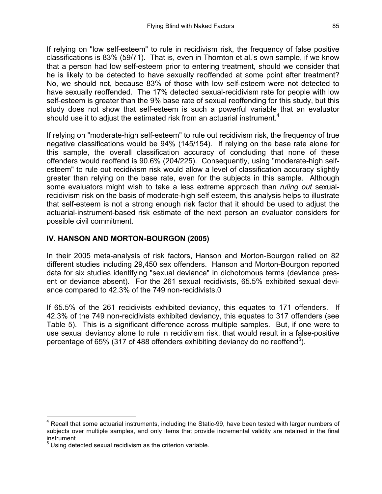If relying on "low self-esteem" to rule in recidivism risk, the frequency of false positive classifications is 83% (59/71). That is, even in Thornton et al.'s own sample, if we know that a person had low self-esteem prior to entering treatment, should we consider that he is likely to be detected to have sexually reoffended at some point after treatment? No, we should not, because 83% of those with low self-esteem were not detected to have sexually reoffended. The 17% detected sexual-recidivism rate for people with low self-esteem is greater than the 9% base rate of sexual reoffending for this study, but this study does not show that self-esteem is such a powerful variable that an evaluator should use it to adjust the estimated risk from an actuarial instrument.<sup>4</sup>

If relying on "moderate-high self-esteem" to rule out recidivism risk, the frequency of true negative classifications would be 94% (145/154). If relying on the base rate alone for this sample, the overall classification accuracy of concluding that none of these offenders would reoffend is 90.6% (204/225). Consequently, using "moderate-high selfesteem" to rule out recidivism risk would allow a level of classification accuracy slightly greater than relying on the base rate, even for the subjects in this sample. Although some evaluators might wish to take a less extreme approach than *ruling out* sexualrecidivism risk on the basis of moderate-high self esteem, this analysis helps to illustrate that self-esteem is not a strong enough risk factor that it should be used to adjust the actuarial-instrument-based risk estimate of the next person an evaluator considers for possible civil commitment.

### **IV. HANSON AND MORTON-BOURGON (2005)**

In their 2005 meta-analysis of risk factors, Hanson and Morton-Bourgon relied on 82 different studies including 29,450 sex offenders. Hanson and Morton-Bourgon reported data for six studies identifying "sexual deviance" in dichotomous terms (deviance present or deviance absent). For the 261 sexual recidivists, 65.5% exhibited sexual deviance compared to 42.3% of the 749 non-recidivists.0

If 65.5% of the 261 recidivists exhibited deviancy, this equates to 171 offenders. If 42.3% of the 749 non-recidivists exhibited deviancy, this equates to 317 offenders (see Table 5). This is a significant difference across multiple samples. But, if one were to use sexual deviancy alone to rule in recidivism risk, that would result in a false-positive percentage of 65% (317 of 488 offenders exhibiting deviancy do no reoffend<sup>5</sup>).

<sup>&</sup>lt;sup>4</sup> Recall that some actuarial instruments, including the Static-99, have been tested with larger numbers of subjects over multiple samples, and only items that provide incremental validity are retained in the final instrument.

 $<sup>5</sup>$  Using detected sexual recidivism as the criterion variable.</sup>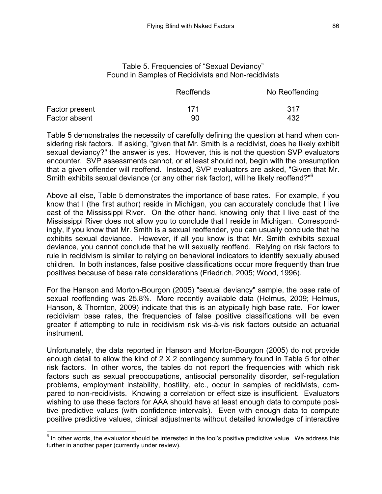#### Table 5. Frequencies of "Sexual Deviancy" Found in Samples of Recidivists and Non-recidivists

|                | Reoffends | No Reoffending |
|----------------|-----------|----------------|
| Factor present | 171       | -317           |
| Factor absent  | 90        | 432            |

Table 5 demonstrates the necessity of carefully defining the question at hand when considering risk factors. If asking, "given that Mr. Smith is a recidivist, does he likely exhibit sexual deviancy?" the answer is yes. However, this is not the question SVP evaluators encounter. SVP assessments cannot, or at least should not, begin with the presumption that a given offender will reoffend. Instead, SVP evaluators are asked, "Given that Mr. Smith exhibits sexual deviance (or any other risk factor), will he likely reoffend?"<sup>6</sup>

Above all else, Table 5 demonstrates the importance of base rates. For example, if you know that I (the first author) reside in Michigan, you can accurately conclude that I live east of the Mississippi River. On the other hand, knowing only that I live east of the Mississippi River does not allow you to conclude that I reside in Michigan. Correspondingly, if you know that Mr. Smith is a sexual reoffender, you can usually conclude that he exhibits sexual deviance. However, if all you know is that Mr. Smith exhibits sexual deviance, you cannot conclude that he will sexually reoffend. Relying on risk factors to rule in recidivism is similar to relying on behavioral indicators to identify sexually abused children. In both instances, false positive classifications occur more frequently than true positives because of base rate considerations (Friedrich, 2005; Wood, 1996).

For the Hanson and Morton-Bourgon (2005) "sexual deviancy" sample, the base rate of sexual reoffending was 25.8%. More recently available data (Helmus, 2009; Helmus, Hanson, & Thornton, 2009) indicate that this is an atypically high base rate. For lower recidivism base rates, the frequencies of false positive classifications will be even greater if attempting to rule in recidivism risk vis-à-vis risk factors outside an actuarial instrument.

Unfortunately, the data reported in Hanson and Morton-Bourgon (2005) do not provide enough detail to allow the kind of 2 X 2 contingency summary found in Table 5 for other risk factors. In other words, the tables do not report the frequencies with which risk factors such as sexual preoccupations, antisocial personality disorder, self-regulation problems, employment instability, hostility, etc., occur in samples of recidivists, compared to non-recidivists. Knowing a correlation or effect size is insufficient. Evaluators wishing to use these factors for AAA should have at least enough data to compute positive predictive values (with confidence intervals). Even with enough data to compute positive predictive values, clinical adjustments without detailed knowledge of interactive

 $6$  In other words, the evaluator should be interested in the tool's positive predictive value. We address this further in another paper (currently under review).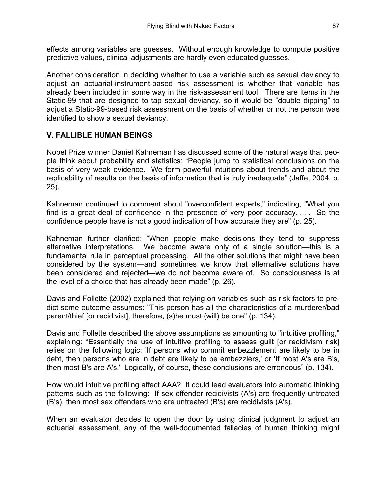effects among variables are guesses. Without enough knowledge to compute positive predictive values, clinical adjustments are hardly even educated guesses.

Another consideration in deciding whether to use a variable such as sexual deviancy to adjust an actuarial-instrument-based risk assessment is whether that variable has already been included in some way in the risk-assessment tool. There are items in the Static-99 that are designed to tap sexual deviancy, so it would be "double dipping" to adjust a Static-99-based risk assessment on the basis of whether or not the person was identified to show a sexual deviancy.

## **V. FALLIBLE HUMAN BEINGS**

Nobel Prize winner Daniel Kahneman has discussed some of the natural ways that people think about probability and statistics: "People jump to statistical conclusions on the basis of very weak evidence. We form powerful intuitions about trends and about the replicability of results on the basis of information that is truly inadequate" (Jaffe, 2004, p. 25).

Kahneman continued to comment about "overconfident experts," indicating, "What you find is a great deal of confidence in the presence of very poor accuracy. . . . So the confidence people have is not a good indication of how accurate they are" (p. 25).

Kahneman further clarified: "When people make decisions they tend to suppress alternative interpretations. We become aware only of a single solution—this is a fundamental rule in perceptual processing. All the other solutions that might have been considered by the system—and sometimes we know that alternative solutions have been considered and rejected—we do not become aware of. So consciousness is at the level of a choice that has already been made" (p. 26).

Davis and Follette (2002) explained that relying on variables such as risk factors to predict some outcome assumes: "This person has all the characteristics of a murderer/bad parent/thief [or recidivist], therefore, (s)he must (will) be one" (p. 134).

Davis and Follette described the above assumptions as amounting to "intuitive profiling," explaining: "Essentially the use of intuitive profiling to assess guilt [or recidivism risk] relies on the following logic: 'If persons who commit embezzlement are likely to be in debt, then persons who are in debt are likely to be embezzlers,' or 'If most A's are B's, then most B's are A's.' Logically, of course, these conclusions are erroneous" (p. 134).

How would intuitive profiling affect AAA? It could lead evaluators into automatic thinking patterns such as the following: If sex offender recidivists (A's) are frequently untreated (B's), then most sex offenders who are untreated (B's) are recidivists (A's).

When an evaluator decides to open the door by using clinical judgment to adjust an actuarial assessment, any of the well-documented fallacies of human thinking might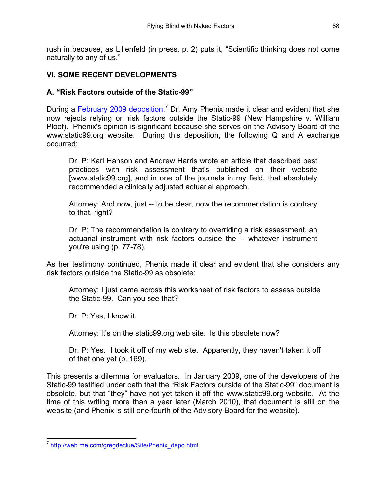rush in because, as Lilienfeld (in press, p. 2) puts it, "Scientific thinking does not come naturally to any of us."

### **VI. SOME RECENT DEVELOPMENTS**

### **A. "Risk Factors outside of the Static-99"**

During a February 2009 deposition,<sup>7</sup> Dr. Amy Phenix made it clear and evident that she now rejects relying on risk factors outside the Static-99 (New Hampshire v. William Ploof). Phenix's opinion is significant because she serves on the Advisory Board of the www.static99.org website. During this deposition, the following Q and A exchange occurred:

Dr. P: Karl Hanson and Andrew Harris wrote an article that described best practices with risk assessment that's published on their website [www.static99.org], and in one of the journals in my field, that absolutely recommended a clinically adjusted actuarial approach.

Attorney: And now, just -- to be clear, now the recommendation is contrary to that, right?

Dr. P: The recommendation is contrary to overriding a risk assessment, an actuarial instrument with risk factors outside the -- whatever instrument you're using (p. 77-78).

As her testimony continued, Phenix made it clear and evident that she considers any risk factors outside the Static-99 as obsolete:

Attorney: I just came across this worksheet of risk factors to assess outside the Static-99. Can you see that?

Dr. P: Yes, I know it.

Attorney: It's on the static99.org web site. Is this obsolete now?

Dr. P: Yes. I took it off of my web site. Apparently, they haven't taken it off of that one yet (p. 169).

This presents a dilemma for evaluators. In January 2009, one of the developers of the Static-99 testified under oath that the "Risk Factors outside of the Static-99" document is obsolete, but that "they" have not yet taken it off the www.static99.org website. At the time of this writing more than a year later (March 2010), that document is still on the website (and Phenix is still one-fourth of the Advisory Board for the website).

 <sup>7</sup> http://web.me.com/gregdeclue/Site/Phenix\_depo.html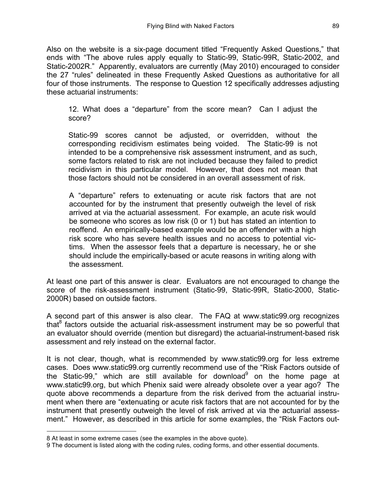Also on the website is a six-page document titled "Frequently Asked Questions," that ends with "The above rules apply equally to Static-99, Static-99R, Static-2002, and Static-2002R." Apparently, evaluators are currently (May 2010) encouraged to consider the 27 "rules" delineated in these Frequently Asked Questions as authoritative for all four of those instruments. The response to Question 12 specifically addresses adjusting these actuarial instruments:

12. What does a "departure" from the score mean? Can I adjust the score?

Static-99 scores cannot be adjusted, or overridden, without the corresponding recidivism estimates being voided. The Static-99 is not intended to be a comprehensive risk assessment instrument, and as such, some factors related to risk are not included because they failed to predict recidivism in this particular model. However, that does not mean that those factors should not be considered in an overall assessment of risk.

A "departure" refers to extenuating or acute risk factors that are not accounted for by the instrument that presently outweigh the level of risk arrived at via the actuarial assessment. For example, an acute risk would be someone who scores as low risk (0 or 1) but has stated an intention to reoffend. An empirically-based example would be an offender with a high risk score who has severe health issues and no access to potential victims. When the assessor feels that a departure is necessary, he or she should include the empirically-based or acute reasons in writing along with the assessment.

At least one part of this answer is clear. Evaluators are not encouraged to change the score of the risk-assessment instrument (Static-99, Static-99R, Static-2000, Static-2000R) based on outside factors.

A second part of this answer is also clear. The FAQ at www.static99.org recognizes that $8$  factors outside the actuarial risk-assessment instrument may be so powerful that an evaluator should override (mention but disregard) the actuarial-instrument-based risk assessment and rely instead on the external factor.

It is not clear, though, what is recommended by www.static99.org for less extreme cases. Does www.static99.org currently recommend use of the "Risk Factors outside of the Static-99," which are still available for download $9$  on the home page at www.static99.org, but which Phenix said were already obsolete over a year ago? The quote above recommends a departure from the risk derived from the actuarial instrument when there are "extenuating or acute risk factors that are not accounted for by the instrument that presently outweigh the level of risk arrived at via the actuarial assessment." However, as described in this article for some examples, the "Risk Factors out-

 <sup>8</sup> At least in some extreme cases (see the examples in the above quote).

<sup>9</sup> The document is listed along with the coding rules, coding forms, and other essential documents.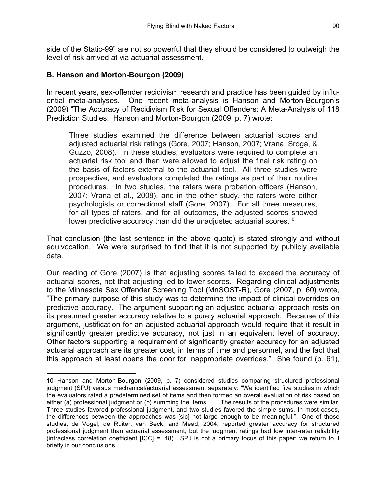side of the Static-99" are not so powerful that they should be considered to outweigh the level of risk arrived at via actuarial assessment.

### **B. Hanson and Morton-Bourgon (2009)**

l

In recent years, sex-offender recidivism research and practice has been guided by influential meta-analyses. One recent meta-analysis is Hanson and Morton-Bourgon's (2009) "The Accuracy of Recidivism Risk for Sexual Offenders: A Meta-Analysis of 118 Prediction Studies. Hanson and Morton-Bourgon (2009, p. 7) wrote:

Three studies examined the difference between actuarial scores and adjusted actuarial risk ratings (Gore, 2007; Hanson, 2007; Vrana, Sroga, & Guzzo, 2008). In these studies, evaluators were required to complete an actuarial risk tool and then were allowed to adjust the final risk rating on the basis of factors external to the actuarial tool. All three studies were prospective, and evaluators completed the ratings as part of their routine procedures. In two studies, the raters were probation officers (Hanson, 2007; Vrana et al., 2008), and in the other study, the raters were either psychologists or correctional staff (Gore, 2007). For all three measures, for all types of raters, and for all outcomes, the adjusted scores showed lower predictive accuracy than did the unadjusted actuarial scores.<sup>10</sup>

That conclusion (the last sentence in the above quote) is stated strongly and without equivocation. We were surprised to find that it is not supported by publicly available data.

Our reading of Gore (2007) is that adjusting scores failed to exceed the accuracy of actuarial scores, not that adjusting led to lower scores. Regarding clinical adjustments to the Minnesota Sex Offender Screening Tool (MnSOST-R), Gore (2007, p. 60) wrote, "The primary purpose of this study was to determine the impact of clinical overrides on predictive accuracy. The argument supporting an adjusted actuarial approach rests on its presumed greater accuracy relative to a purely actuarial approach. Because of this argument, justification for an adjusted actuarial approach would require that it result in significantly greater predictive accuracy, not just in an equivalent level of accuracy. Other factors supporting a requirement of significantly greater accuracy for an adjusted actuarial approach are its greater cost, in terms of time and personnel, and the fact that this approach at least opens the door for inappropriate overrides." She found (p. 61),

<sup>10</sup> Hanson and Morton-Bourgon (2009, p. 7) considered studies comparing structured professional judgment (SPJ) versus mechanical/actuarial assessment separately: "We identified five studies in which the evaluators rated a predetermined set of items and then formed an overall evaluation of risk based on either (a) professional judgment or (b) summing the items. . . . The results of the procedures were similar. Three studies favored professional judgment, and two studies favored the simple sums. In most cases, the differences between the approaches was [sic] not large enough to be meaningful." One of those studies, de Vogel, de Ruiter, van Beck, and Mead, 2004, reported greater accuracy for structured professional judgment than actuarial assessment, but the judgment ratings had low inter-rater reliability (intraclass correlation coefficient  $[ICC] = .48$ ). SPJ is not a primary focus of this paper; we return to it briefly in our conclusions.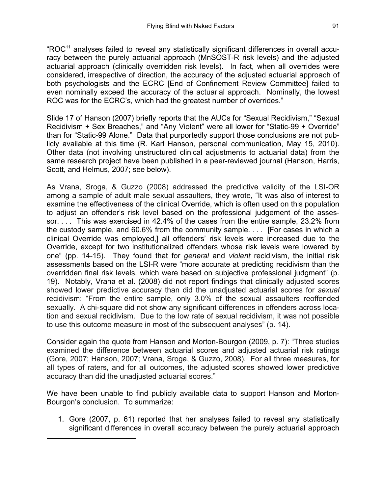"ROC11 analyses failed to reveal any statistically significant differences in overall accuracy between the purely actuarial approach (MnSOST-R risk levels) and the adjusted actuarial approach (clinically overridden risk levels). In fact, when all overrides were considered, irrespective of direction, the accuracy of the adjusted actuarial approach of both psychologists and the ECRC [End of Confinement Review Committee] failed to even nominally exceed the accuracy of the actuarial approach. Nominally, the lowest ROC was for the ECRC's, which had the greatest number of overrides."

Slide 17 of Hanson (2007) briefly reports that the AUCs for "Sexual Recidivism," "Sexual Recidivism + Sex Breaches," and "Any Violent" were all lower for "Static-99 + Override" than for "Static-99 Alone." Data that purportedly support those conclusions are not publicly available at this time (R. Karl Hanson, personal communication, May 15, 2010). Other data (not involving unstructured clinical adjustments to actuarial data) from the same research project have been published in a peer-reviewed journal (Hanson, Harris, Scott, and Helmus, 2007; see below).

As Vrana, Sroga, & Guzzo (2008) addressed the predictive validity of the LSI-OR among a sample of adult male sexual assaulters, they wrote, "It was also of interest to examine the effectiveness of the clinical Override, which is often used on this population to adjust an offender's risk level based on the professional judgement of the assessor. . . . This was exercised in 42.4% of the cases from the entire sample, 23.2% from the custody sample, and 60.6% from the community sample. . . . [For cases in which a clinical Override was employed,] all offenders' risk levels were increased due to the Override, except for two institutionalized offenders whose risk levels were lowered by one" (pp. 14-15). They found that for *general* and *violent* recidivism, the initial risk assessments based on the LSI-R were "more accurate at predicting recidivism than the overridden final risk levels, which were based on subjective professional judgment" (p. 19). Notably, Vrana et al. (2008) did not report findings that clinically adjusted scores showed lower predictive accuracy than did the unadjusted actuarial scores for *sexual* recidivism: "From the entire sample, only 3.0% of the sexual assaulters reoffended sexually. A chi-square did not show any significant differences in offenders across location and sexual recidivism. Due to the low rate of sexual recidivism, it was not possible to use this outcome measure in most of the subsequent analyses" (p. 14).

Consider again the quote from Hanson and Morton-Bourgon (2009, p. 7): "Three studies examined the difference between actuarial scores and adjusted actuarial risk ratings (Gore, 2007; Hanson, 2007; Vrana, Sroga, & Guzzo, 2008). For all three measures, for all types of raters, and for all outcomes, the adjusted scores showed lower predictive accuracy than did the unadjusted actuarial scores."

We have been unable to find publicly available data to support Hanson and Morton-Bourgon's conclusion. To summarize:

l

1. Gore (2007, p. 61) reported that her analyses failed to reveal any statistically significant differences in overall accuracy between the purely actuarial approach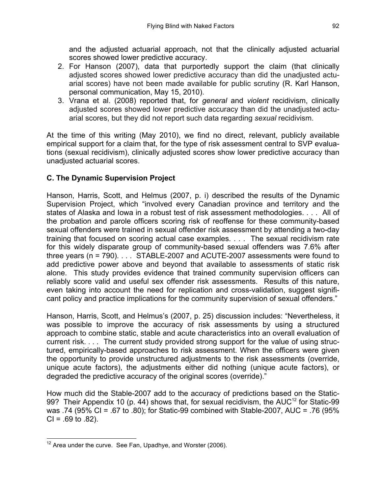and the adjusted actuarial approach, not that the clinically adjusted actuarial scores showed lower predictive accuracy.

- 2. For Hanson (2007), data that purportedly support the claim (that clinically adjusted scores showed lower predictive accuracy than did the unadjusted actuarial scores) have not been made available for public scrutiny (R. Karl Hanson, personal communication, May 15, 2010).
- 3. Vrana et al. (2008) reported that, for *general* and *violent* recidivism, clinically adjusted scores showed lower predictive accuracy than did the unadjusted actuarial scores, but they did not report such data regarding *sexual* recidivism.

At the time of this writing (May 2010), we find no direct, relevant, publicly available empirical support for a claim that, for the type of risk assessment central to SVP evaluations (sexual recidivism), clinically adjusted scores show lower predictive accuracy than unadjusted actuarial scores.

# **C. The Dynamic Supervision Project**

Hanson, Harris, Scott, and Helmus (2007, p. i) described the results of the Dynamic Supervision Project, which "involved every Canadian province and territory and the states of Alaska and Iowa in a robust test of risk assessment methodologies. . . . All of the probation and parole officers scoring risk of reoffense for these community-based sexual offenders were trained in sexual offender risk assessment by attending a two-day training that focused on scoring actual case examples. . . . The sexual recidivism rate for this widely disparate group of community-based sexual offenders was 7.6% after three years (n = 790). . . . STABLE-2007 and ACUTE-2007 assessments were found to add predictive power above and beyond that available to assessments of static risk alone. This study provides evidence that trained community supervision officers can reliably score valid and useful sex offender risk assessments. Results of this nature, even taking into account the need for replication and cross-validation, suggest significant policy and practice implications for the community supervision of sexual offenders."

Hanson, Harris, Scott, and Helmus's (2007, p. 25) discussion includes: "Nevertheless, it was possible to improve the accuracy of risk assessments by using a structured approach to combine static, stable and acute characteristics into an overall evaluation of current risk. . . . The current study provided strong support for the value of using structured, empirically-based approaches to risk assessment. When the officers were given the opportunity to provide unstructured adjustments to the risk assessments (override, unique acute factors), the adjustments either did nothing (unique acute factors), or degraded the predictive accuracy of the original scores (override)."

How much did the Stable-2007 add to the accuracy of predictions based on the Static-99? Their Appendix 10 (p. 44) shows that, for sexual recidivism, the AUC<sup>12</sup> for Static-99 was .74 (95% CI = .67 to .80); for Static-99 combined with Stable-2007, AUC = .76 (95%  $Cl = .69$  to  $.82$ ).

 $12$  Area under the curve. See Fan, Upadhye, and Worster (2006).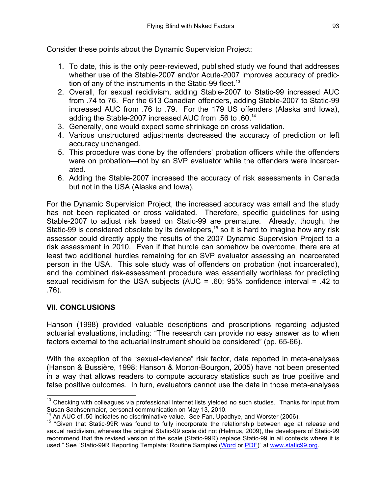Consider these points about the Dynamic Supervision Project:

- 1. To date, this is the only peer-reviewed, published study we found that addresses whether use of the Stable-2007 and/or Acute-2007 improves accuracy of prediction of any of the instruments in the Static-99 fleet.<sup>13</sup>
- 2. Overall, for sexual recidivism, adding Stable-2007 to Static-99 increased AUC from .74 to 76. For the 613 Canadian offenders, adding Stable-2007 to Static-99 increased AUC from .76 to .79. For the 179 US offenders (Alaska and Iowa), adding the Stable-2007 increased AUC from .56 to .60.<sup>14</sup>
- 3. Generally, one would expect some shrinkage on cross validation.
- 4. Various unstructured adjustments decreased the accuracy of prediction or left accuracy unchanged.
- 5. This procedure was done by the offenders' probation officers while the offenders were on probation—not by an SVP evaluator while the offenders were incarcerated.
- 6. Adding the Stable-2007 increased the accuracy of risk assessments in Canada but not in the USA (Alaska and Iowa).

For the Dynamic Supervision Project, the increased accuracy was small and the study has not been replicated or cross validated. Therefore, specific guidelines for using Stable-2007 to adjust risk based on Static-99 are premature. Already, though, the Static-99 is considered obsolete by its developers,<sup>15</sup> so it is hard to imagine how any risk assessor could directly apply the results of the 2007 Dynamic Supervision Project to a risk assessment in 2010. Even if that hurdle can somehow be overcome, there are at least two additional hurdles remaining for an SVP evaluator assessing an incarcerated person in the USA. This sole study was of offenders on probation (not incarcerated), and the combined risk-assessment procedure was essentially worthless for predicting sexual recidivism for the USA subjects (AUC = .60; 95% confidence interval = .42 to .76).

## **VII. CONCLUSIONS**

Hanson (1998) provided valuable descriptions and proscriptions regarding adjusted actuarial evaluations, including: "The research can provide no easy answer as to when factors external to the actuarial instrument should be considered" (pp. 65-66).

With the exception of the "sexual-deviance" risk factor, data reported in meta-analyses (Hanson & Bussière, 1998; Hanson & Morton-Bourgon, 2005) have not been presented in a way that allows readers to compute accuracy statistics such as true positive and false positive outcomes. In turn, evaluators cannot use the data in those meta-analyses

 $13$  Checking with colleagues via professional Internet lists yielded no such studies. Thanks for input from Susan Sachsenmaier, personal communication on May 13, 2010.

<sup>&</sup>lt;sup>14</sup> An AUC of .50 indicates no discriminative value. See Fan, Upadhye, and Worster (2006).<br><sup>15</sup> "Given that Static-99R was found to fully incorporate the relationship between age at release and sexual recidivism, whereas the original Static-99 scale did not (Helmus, 2009), the developers of Static-99 recommend that the revised version of the scale (Static-99R) replace Static-99 in all contexts where it is used." See "Static-99R Reporting Template: Routine Samples (Word or PDF)" at www.static99.org.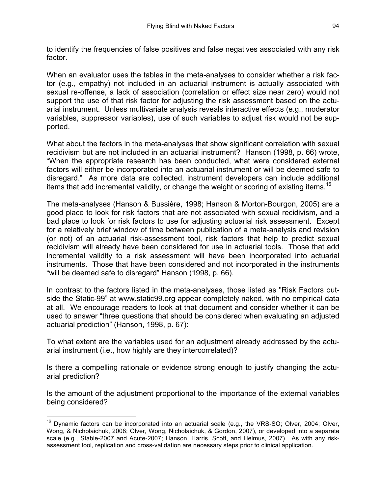to identify the frequencies of false positives and false negatives associated with any risk factor.

When an evaluator uses the tables in the meta-analyses to consider whether a risk factor (e.g., empathy) not included in an actuarial instrument is actually associated with sexual re-offense, a lack of association (correlation or effect size near zero) would not support the use of that risk factor for adjusting the risk assessment based on the actuarial instrument. Unless multivariate analysis reveals interactive effects (e.g., moderator variables, suppressor variables), use of such variables to adjust risk would not be supported.

What about the factors in the meta-analyses that show significant correlation with sexual recidivism but are not included in an actuarial instrument? Hanson (1998, p. 66) wrote, "When the appropriate research has been conducted, what were considered external factors will either be incorporated into an actuarial instrument or will be deemed safe to disregard." As more data are collected, instrument developers can include additional items that add incremental validity, or change the weight or scoring of existing items.<sup>16</sup>

The meta-analyses (Hanson & Bussière, 1998; Hanson & Morton-Bourgon, 2005) are a good place to look for risk factors that are not associated with sexual recidivism, and a bad place to look for risk factors to use for adjusting actuarial risk assessment. Except for a relatively brief window of time between publication of a meta-analysis and revision (or not) of an actuarial risk-assessment tool, risk factors that help to predict sexual recidivism will already have been considered for use in actuarial tools. Those that add incremental validity to a risk assessment will have been incorporated into actuarial instruments. Those that have been considered and not incorporated in the instruments "will be deemed safe to disregard" Hanson (1998, p. 66).

In contrast to the factors listed in the meta-analyses, those listed as "Risk Factors outside the Static-99" at www.static99.org appear completely naked, with no empirical data at all. We encourage readers to look at that document and consider whether it can be used to answer "three questions that should be considered when evaluating an adjusted actuarial prediction" (Hanson, 1998, p. 67):

To what extent are the variables used for an adjustment already addressed by the actuarial instrument (i.e., how highly are they intercorrelated)?

Is there a compelling rationale or evidence strong enough to justify changing the actuarial prediction?

Is the amount of the adjustment proportional to the importance of the external variables being considered?

<sup>&</sup>lt;sup>16</sup> Dynamic factors can be incorporated into an actuarial scale (e.g., the VRS-SO; Olver, 2004; Olver, Wong, & Nicholaichuk, 2008; Olver, Wong, Nicholaichuk, & Gordon, 2007), or developed into a separate scale (e.g., Stable-2007 and Acute-2007; Hanson, Harris, Scott, and Helmus, 2007). As with any riskassessment tool, replication and cross-validation are necessary steps prior to clinical application.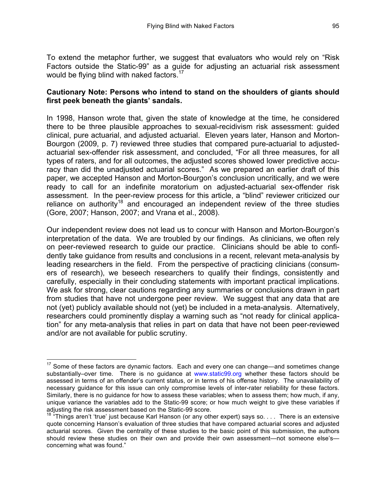To extend the metaphor further, we suggest that evaluators who would rely on "Risk Factors outside the Static-99" as a guide for adjusting an actuarial risk assessment would be flying blind with naked factors.<sup>17</sup>

### **Cautionary Note: Persons who intend to stand on the shoulders of giants should first peek beneath the giants' sandals.**

In 1998, Hanson wrote that, given the state of knowledge at the time, he considered there to be three plausible approaches to sexual-recidivism risk assessment: guided clinical, pure actuarial, and adjusted actuarial. Eleven years later, Hanson and Morton-Bourgon (2009, p. 7) reviewed three studies that compared pure-actuarial to adjustedactuarial sex-offender risk assessment, and concluded, "For all three measures, for all types of raters, and for all outcomes, the adjusted scores showed lower predictive accuracy than did the unadjusted actuarial scores." As we prepared an earlier draft of this paper, we accepted Hanson and Morton-Bourgon's conclusion uncritically, and we were ready to call for an indefinite moratorium on adjusted-actuarial sex-offender risk assessment. In the peer-review process for this article, a "blind" reviewer criticized our reliance on authority<sup>18</sup> and encouraged an independent review of the three studies (Gore, 2007; Hanson, 2007; and Vrana et al., 2008).

Our independent review does not lead us to concur with Hanson and Morton-Bourgon's interpretation of the data. We are troubled by our findings. As clinicians, we often rely on peer-reviewed research to guide our practice. Clinicians should be able to confidently take guidance from results and conclusions in a recent, relevant meta-analysis by leading researchers in the field. From the perspective of practicing clinicians (consumers of research), we beseech researchers to qualify their findings, consistently and carefully, especially in their concluding statements with important practical implications. We ask for strong, clear cautions regarding any summaries or conclusions drawn in part from studies that have not undergone peer review. We suggest that any data that are not (yet) publicly available should not (yet) be included in a meta-analysis. Alternatively, researchers could prominently display a warning such as "not ready for clinical application" for any meta-analysis that relies in part on data that have not been peer-reviewed and/or are not available for public scrutiny.

<sup>&</sup>lt;sup>17</sup> Some of these factors are dynamic factors. Each and every one can change—and sometimes change substantially–over time. There is no guidance at www.static99.org whether these factors should be assessed in terms of an offender's current status, or in terms of his offense history. The unavailability of necessary guidance for this issue can only compromise levels of inter-rater reliability for these factors. Similarly, there is no guidance for how to assess these variables; when to assess them; how much, if any, unique variance the variables add to the Static-99 score; or how much weight to give these variables if adjusting the risk assessment based on the Static-99 score.

<sup>18</sup> "Things aren't 'true' just because Karl Hanson (or any other expert) says so. . . . There is an extensive quote concerning Hanson's evaluation of three studies that have compared actuarial scores and adjusted actuarial scores. Given the centrality of these studies to the basic point of this submission, the authors should review these studies on their own and provide their own assessment—not someone else's concerning what was found."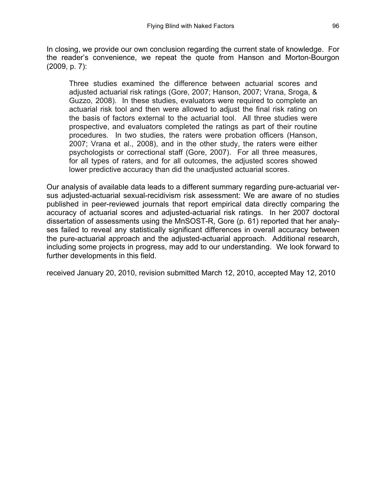In closing, we provide our own conclusion regarding the current state of knowledge. For the reader's convenience, we repeat the quote from Hanson and Morton-Bourgon (2009, p. 7):

Three studies examined the difference between actuarial scores and adjusted actuarial risk ratings (Gore, 2007; Hanson, 2007; Vrana, Sroga, & Guzzo, 2008). In these studies, evaluators were required to complete an actuarial risk tool and then were allowed to adjust the final risk rating on the basis of factors external to the actuarial tool. All three studies were prospective, and evaluators completed the ratings as part of their routine procedures. In two studies, the raters were probation officers (Hanson, 2007; Vrana et al., 2008), and in the other study, the raters were either psychologists or correctional staff (Gore, 2007). For all three measures, for all types of raters, and for all outcomes, the adjusted scores showed lower predictive accuracy than did the unadjusted actuarial scores.

Our analysis of available data leads to a different summary regarding pure-actuarial versus adjusted-actuarial sexual-recidivism risk assessment: We are aware of no studies published in peer-reviewed journals that report empirical data directly comparing the accuracy of actuarial scores and adjusted-actuarial risk ratings. In her 2007 doctoral dissertation of assessments using the MnSOST-R, Gore (p. 61) reported that her analyses failed to reveal any statistically significant differences in overall accuracy between the pure-actuarial approach and the adjusted-actuarial approach. Additional research, including some projects in progress, may add to our understanding. We look forward to further developments in this field.

received January 20, 2010, revision submitted March 12, 2010, accepted May 12, 2010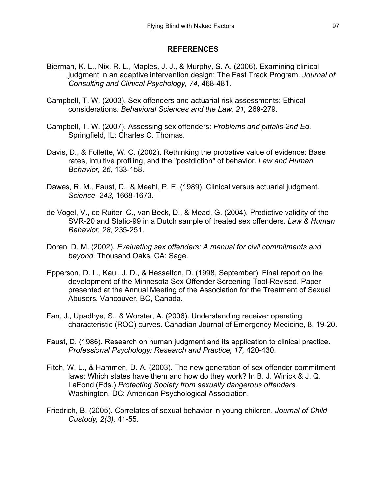#### **REFERENCES**

- Bierman, K. L., Nix, R. L., Maples, J. J., & Murphy, S. A. (2006). Examining clinical judgment in an adaptive intervention design: The Fast Track Program. *Journal of Consulting and Clinical Psychology, 74,* 468-481.
- Campbell, T. W. (2003). Sex offenders and actuarial risk assessments: Ethical considerations. *Behavioral Sciences and the Law, 21,* 269-279.
- Campbell, T. W. (2007). Assessing sex offenders: *Problems and pitfalls-2nd Ed.* Springfield, IL: Charles C. Thomas.
- Davis, D., & Follette, W. C. (2002). Rethinking the probative value of evidence: Base rates, intuitive profiling, and the "postdiction" of behavior. *Law and Human Behavior, 26,* 133-158.
- Dawes, R. M., Faust, D., & Meehl, P. E. (1989). Clinical versus actuarial judgment. *Science, 243,* 1668-1673.
- de Vogel, V., de Ruiter, C., van Beck, D., & Mead, G. (2004). Predictive validity of the SVR-20 and Static-99 in a Dutch sample of treated sex offenders. *Law & Human Behavior, 28,* 235-251.
- Doren, D. M. (2002). *Evaluating sex offenders: A manual for civil commitments and beyond.* Thousand Oaks, CA: Sage.
- Epperson, D. L., Kaul, J. D., & Hesselton, D. (1998, September). Final report on the development of the Minnesota Sex Offender Screening Tool-Revised. Paper presented at the Annual Meeting of the Association for the Treatment of Sexual Abusers. Vancouver, BC, Canada.
- Fan, J., Upadhye, S., & Worster, A. (2006). Understanding receiver operating characteristic (ROC) curves. Canadian Journal of Emergency Medicine, 8, 19-20.
- Faust, D. (1986). Research on human judgment and its application to clinical practice. *Professional Psychology: Research and Practice, 17,* 420-430.
- Fitch, W. L., & Hammen, D. A. (2003). The new generation of sex offender commitment laws: Which states have them and how do they work? In B. J. Winick & J. Q. LaFond (Eds.) *Protecting Society from sexually dangerous offenders.* Washington, DC: American Psychological Association.
- Friedrich, B. (2005). Correlates of sexual behavior in young children. *Journal of Child Custody, 2(3),* 41-55.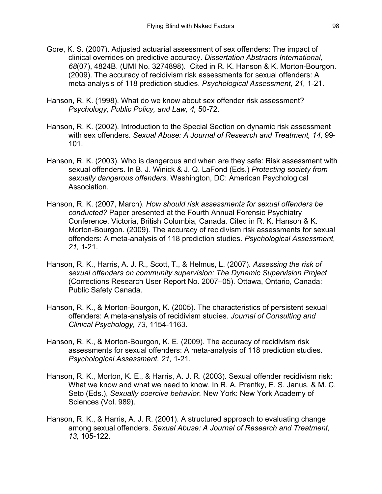- Gore, K. S. (2007). Adjusted actuarial assessment of sex offenders: The impact of clinical overrides on predictive accuracy. *Dissertation Abstracts International, 68*(07), 4824B. (UMI No. 3274898). Cited in R. K. Hanson & K. Morton-Bourgon. (2009). The accuracy of recidivism risk assessments for sexual offenders: A meta-analysis of 118 prediction studies. *Psychological Assessment, 21,* 1-21.
- Hanson, R. K. (1998). What do we know about sex offender risk assessment? *Psychology, Public Policy, and Law, 4,* 50-72.
- Hanson, R. K. (2002). Introduction to the Special Section on dynamic risk assessment with sex offenders. *Sexual Abuse: A Journal of Research and Treatment, 14,* 99- 101.
- Hanson, R. K. (2003). Who is dangerous and when are they safe: Risk assessment with sexual offenders. In B. J. Winick & J. Q. LaFond (Eds.) *Protecting society from sexually dangerous offenders.* Washington, DC: American Psychological Association.
- Hanson, R. K. (2007, March). *How should risk assessments for sexual offenders be conducted?* Paper presented at the Fourth Annual Forensic Psychiatry Conference, Victoria, British Columbia, Canada. Cited in R. K. Hanson & K. Morton-Bourgon. (2009). The accuracy of recidivism risk assessments for sexual offenders: A meta-analysis of 118 prediction studies. *Psychological Assessment, 21,* 1-21.
- Hanson, R. K., Harris, A. J. R., Scott, T., & Helmus, L. (2007). *Assessing the risk of sexual offenders on community supervision: The Dynamic Supervision Project*  (Corrections Research User Report No. 2007–05). Ottawa, Ontario, Canada: Public Safety Canada.
- Hanson, R. K., & Morton-Bourgon, K. (2005). The characteristics of persistent sexual offenders: A meta-analysis of recidivism studies. *Journal of Consulting and Clinical Psychology, 73,* 1154-1163.
- Hanson, R. K., & Morton-Bourgon, K. E. (2009). The accuracy of recidivism risk assessments for sexual offenders: A meta-analysis of 118 prediction studies. *Psychological Assessment, 21,* 1-21.
- Hanson, R. K., Morton, K. E., & Harris, A. J. R. (2003). Sexual offender recidivism risk: What we know and what we need to know. In R. A. Prentky, E. S. Janus, & M. C. Seto (Eds.), *Sexually coercive behavior.* New York: New York Academy of Sciences (Vol. 989).
- Hanson, R. K., & Harris, A. J. R. (2001). A structured approach to evaluating change among sexual offenders. *Sexual Abuse: A Journal of Research and Treatment, 13,* 105-122.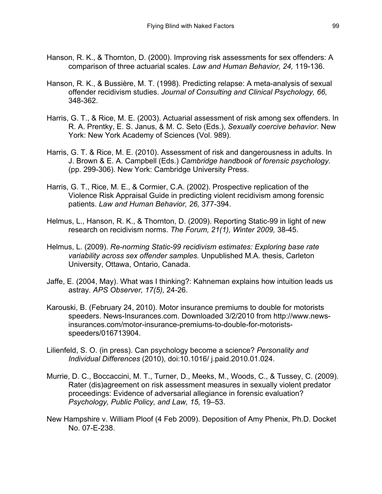- Hanson, R. K., & Thornton, D. (2000). Improving risk assessments for sex offenders: A comparison of three actuarial scales. *Law and Human Behavior, 24,* 119-136.
- Hanson, R. K., & Bussière, M. T. (1998). Predicting relapse: A meta-analysis of sexual offender recidivism studies. *Journal of Consulting and Clinical Psychology, 66,* 348-362.
- Harris, G. T., & Rice, M. E. (2003). Actuarial assessment of risk among sex offenders. In R. A. Prentky, E. S. Janus, & M. C. Seto (Eds.), *Sexually coercive behavior.* New York: New York Academy of Sciences (Vol. 989).
- Harris, G. T. & Rice, M. E. (2010). Assessment of risk and dangerousness in adults. In J. Brown & E. A. Campbell (Eds.) *Cambridge handbook of forensic psychology.* (pp. 299-306). New York: Cambridge University Press.
- Harris, G. T., Rice, M. E., & Cormier, C.A. (2002). Prospective replication of the Violence Risk Appraisal Guide in predicting violent recidivism among forensic patients. *Law and Human Behavior, 26,* 377-394.
- Helmus, L., Hanson, R. K., & Thornton, D. (2009). Reporting Static-99 in light of new research on recidivism norms. *The Forum, 21(1), Winter 2009,* 38-45.
- Helmus, L. (2009). *Re-norming Static-99 recidivism estimates: Exploring base rate variability across sex offender samples.* Unpublished M.A. thesis, Carleton University, Ottawa, Ontario, Canada.
- Jaffe, E. (2004, May). What was I thinking?: Kahneman explains how intuition leads us astray. *APS Observer, 17(5),* 24-26.
- Karouski, B. (February 24, 2010). Motor insurance premiums to double for motorists speeders. News-Insurances.com. Downloaded 3/2/2010 from http://www.newsinsurances.com/motor-insurance-premiums-to-double-for-motoristsspeeders/016713904.
- Lilienfeld, S. O. (in press). Can psychology become a science? *Personality and Individual Differences* (2010), doi:10.1016/ j.paid.2010.01.024.
- Murrie, D. C., Boccaccini, M. T., Turner, D., Meeks, M., Woods, C., & Tussey, C. (2009). Rater (dis)agreement on risk assessment measures in sexually violent predator proceedings: Evidence of adversarial allegiance in forensic evaluation? *Psychology, Public Policy, and Law, 15,* 19–53.
- New Hampshire v. William Ploof (4 Feb 2009). Deposition of Amy Phenix, Ph.D. Docket No. 07-E-238.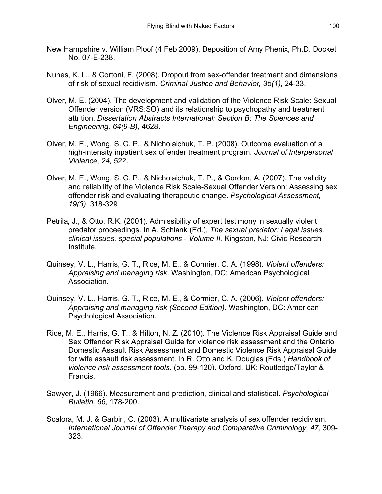- New Hampshire v. William Ploof (4 Feb 2009). Deposition of Amy Phenix, Ph.D. Docket No. 07-E-238.
- Nunes, K. L., & Cortoni, F. (2008). Dropout from sex-offender treatment and dimensions of risk of sexual recidivism. *Criminal Justice and Behavior, 35(1),* 24-33.
- Olver, M. E. (2004). The development and validation of the Violence Risk Scale: Sexual Offender version (VRS:SO) and its relationship to psychopathy and treatment attrition. *Dissertation Abstracts International: Section B: The Sciences and Engineering, 64(9-B),* 4628.
- Olver, M. E., Wong, S. C. P., & Nicholaichuk, T. P. (2008). Outcome evaluation of a high-intensity inpatient sex offender treatment program. *Journal of Interpersonal Violence*, *24,* 522.
- Olver, M. E., Wong, S. C. P., & Nicholaichuk, T. P., & Gordon, A. (2007). The validity and reliability of the Violence Risk Scale-Sexual Offender Version: Assessing sex offender risk and evaluating therapeutic change. *Psychological Assessment, 19(3),* 318-329.
- Petrila, J., & Otto, R.K. (2001). Admissibility of expert testimony in sexually violent predator proceedings. In A. Schlank (Ed.), *The sexual predator: Legal issues, clinical issues, special populations - Volume II.* Kingston, NJ: Civic Research Institute.
- Quinsey, V. L., Harris, G. T., Rice, M. E., & Cormier, C. A. (1998). *Violent offenders: Appraising and managing risk.* Washington, DC: American Psychological Association.
- Quinsey, V. L., Harris, G. T., Rice, M. E., & Cormier, C. A. (2006). *Violent offenders: Appraising and managing risk (Second Edition).* Washington, DC: American Psychological Association.
- Rice, M. E., Harris, G. T., & Hilton, N. Z. (2010). The Violence Risk Appraisal Guide and Sex Offender Risk Appraisal Guide for violence risk assessment and the Ontario Domestic Assault Risk Assessment and Domestic Violence Risk Appraisal Guide for wife assault risk assessment. In R. Otto and K. Douglas (Eds.) *Handbook of violence risk assessment tools.* (pp. 99-120). Oxford, UK: Routledge/Taylor & Francis.
- Sawyer, J. (1966). Measurement and prediction, clinical and statistical. *Psychological Bulletin, 66,* 178-200.
- Scalora, M. J. & Garbin, C. (2003). A multivariate analysis of sex offender recidivism. *International Journal of Offender Therapy and Comparative Criminology, 47,* 309- 323.